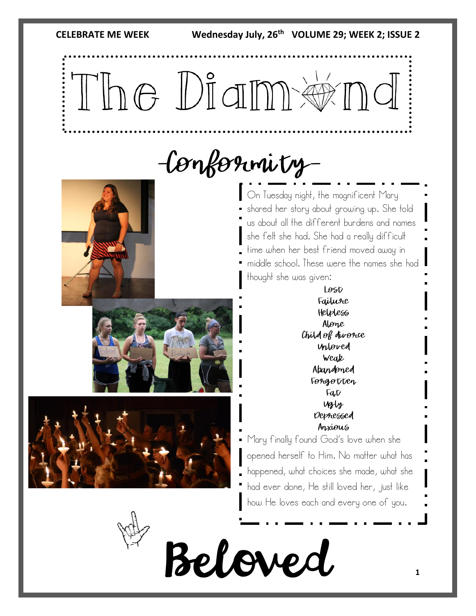The Diameternd

## -Conformity-

On Tuesday night, the magnificent Mary shared her story about growing up. She told us about all the different burdens and names she felt she had. She had a really difficult time when her best friend moved away in middle school. These were the names she had thought she was given:

> Lost Failure Helpless Alone Child of divorce Unloved Weak Abandoned Forgotten Fat Ugly Depressed Anxious

Mary finally found God's love when she opened herself to Him. No matter what has happened, what choices she made, what she had ever done, He still loved her, just like how He loves each and every one of you.

Beloved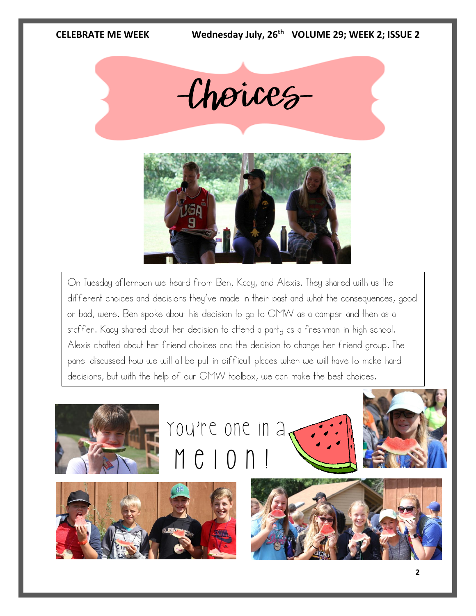

On Tuesday afternoon we heard from Ben, Kacy, and Alexis. They shared with us the different choices and decisions they've made in their past and what the consequences, good or bad, were. Ben spoke about his decision to go to CMW as a camper and then as a staffer. Kacy shared about her decision to attend a party as a freshman in high school. Alexis chatted about her friend choices and the decision to change her friend group. The panel discussed how we will all be put in difficult places when we will have to make hard decisions, but with the help of our CMW toolbox, we can make the best choices.

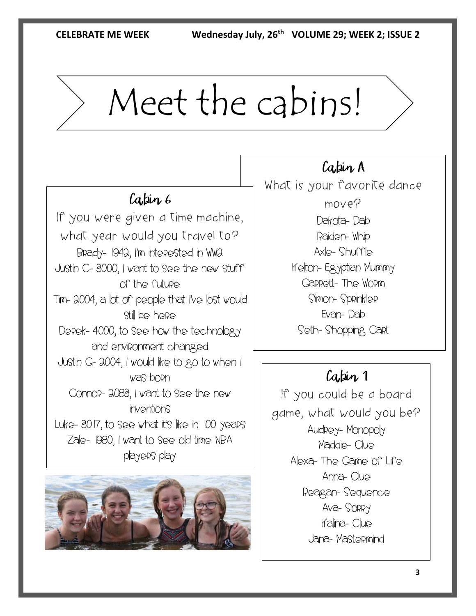# Meet the cabins!

## Cabin 6

If you were given a time machine, what year would you travel to? Brady- 1942, I'm interested in WW2 Justin C- 3000, I want to see the new stuff of the future Tim- 2004, a lot of people that I've lost would still be here Derek- 4000, to see how the technology and environment changed Justin G- 2004, I would like to go to when I was born Connor- 2083, I want to see the new inventions Luke- 3017, to see what it's like in 100 years Zale- 1980, I want to see old time NBA players play



Cabin A What is your favorite dance move? Dakota- Dab Raiden- Whip Axle- Shuffle Kelton- Egyptian Mummy Garrett- The Worm Simon- Sprinkler Evan- Dab Seth- Shopping Cart

### Cabin 1

If you could be a board game, what would you be? Audrey- Monopoly Maddie- Clue Alexa- The Game of Life Anna- Clue Reagan- Sequence Ava- Sorry Kalina- Clue Jana- Mastermind